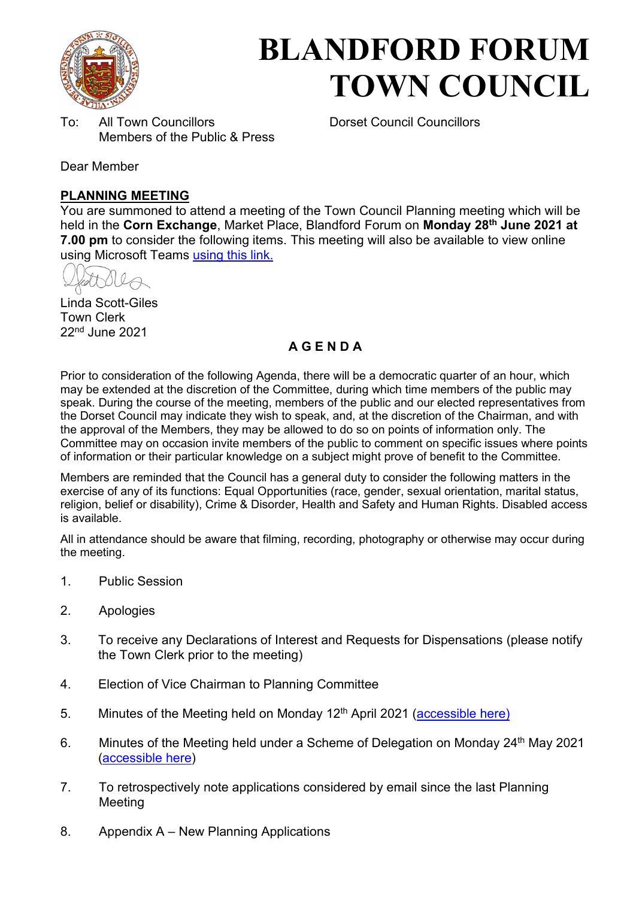

# **BLANDFORD FORUM TOWN COUNCIL**

To: All Town Councillors Dorset Council Councillors Members of the Public & Press

Dear Member

#### **PLANNING MEETING**

You are summoned to attend a meeting of the Town Council Planning meeting which will be held in the **Corn Exchange**, Market Place, Blandford Forum on **Monday 28th June 2021 at 7.00 pm** to consider the following items. This meeting will also be available to view online using Microsoft Teams [using this link.](https://teams.microsoft.com/l/meetup-join/19%3a2cb1b1f9de074efdad40308940ab9ba0%40thread.tacv2/1622547385058?context=%7b%22Tid%22%3a%223cd8f2fb-4c45-4162-86f1-fb87b5f6a138%22%2c%22Oid%22%3a%2265e5950c-ab1c-41cc-9090-4a755c733f54%22%7d)

Linda Scott-Giles Town Clerk 22nd June 2021

### **A G E N D A**

Prior to consideration of the following Agenda, there will be a democratic quarter of an hour, which may be extended at the discretion of the Committee, during which time members of the public may speak. During the course of the meeting, members of the public and our elected representatives from the Dorset Council may indicate they wish to speak, and, at the discretion of the Chairman, and with the approval of the Members, they may be allowed to do so on points of information only. The Committee may on occasion invite members of the public to comment on specific issues where points of information or their particular knowledge on a subject might prove of benefit to the Committee.

Members are reminded that the Council has a general duty to consider the following matters in the exercise of any of its functions: Equal Opportunities (race, gender, sexual orientation, marital status, religion, belief or disability), Crime & Disorder, Health and Safety and Human Rights. Disabled access is available.

All in attendance should be aware that filming, recording, photography or otherwise may occur during the meeting.

- 1. Public Session
- 2. Apologies
- 3. To receive any Declarations of Interest and Requests for Dispensations (please notify the Town Clerk prior to the meeting)
- 4. Election of Vice Chairman to Planning Committee
- 5. Minutes of the Meeting held on Monday  $12<sup>th</sup>$  April 2021 [\(accessible here\)](https://blandfordforum-tc.gov.uk/wp-content/uploads/2021/04/120421.pdf)
- 6. Minutes of the Meeting held under a Scheme of Delegation on Monday 24<sup>th</sup> May 2021 [\(accessible here\)](https://blandfordforum-tc.gov.uk/wp-content/uploads/2021/05/240521.pdf)
- 7. To retrospectively note applications considered by email since the last Planning **Meeting**
- 8. Appendix A New Planning Applications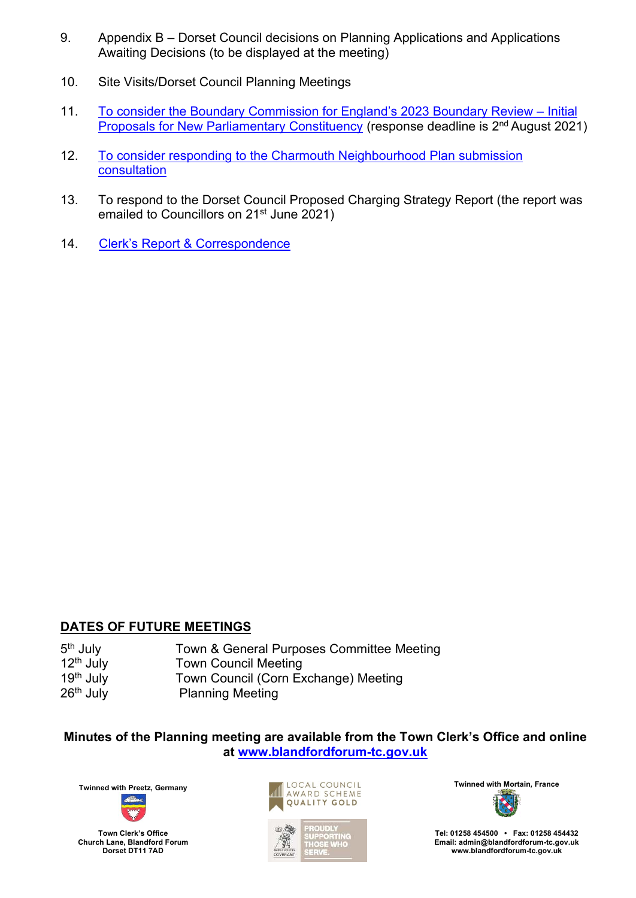- 9. Appendix B Dorset Council decisions on Planning Applications and Applications Awaiting Decisions (to be displayed at the meeting)
- 10. Site Visits/Dorset Council Planning Meetings
- 11. To consider th[e Boundary Commission for England's](http://www.bcereviews.org.uk/) 2023 Boundary Review Initial [Proposals for New Parliamentary Constituency](http://www.bcereviews.org.uk/) (response deadline is 2<sup>nd</sup> August 2021)
- 12. To consider responding to the Charmouth Neighbourhood Plan submission [consultation](https://www.dorsetcouncil.gov.uk/charmouth-neighbourhood-plan)
- 13. To respond to the Dorset Council Proposed Charging Strategy Report (the report was emailed to Councillors on 21<sup>st</sup> June 2021)
- 14. Clerk's Rep[ort & Correspondence](#page-6-0)

#### **DATES OF FUTURE MEETINGS**

| 5 <sup>th</sup> July  | Town & General Purposes Committee Meeting |
|-----------------------|-------------------------------------------|
| 12 <sup>th</sup> July | <b>Town Council Meeting</b>               |
| 19th July             | Town Council (Corn Exchange) Meeting      |
| 26 <sup>th</sup> July | <b>Planning Meeting</b>                   |

#### **Minutes of the Planning meeting are available from the Town Clerk's Office and online at [www.blandfordforum-tc.gov.uk](http://www.blandfordforum-tc.gov.uk/)**



**Town Clerk's Office Church Lane, Blandford Forum Dorset DT11 7AD** 





**Tel: 01258 454500 • Fax: 01258 454432 Email: admin@blandfordforum-tc.gov.uk [www.blandfordforum-tc.gov.uk](http://www.blandfordforum-tc.gov.uk/)**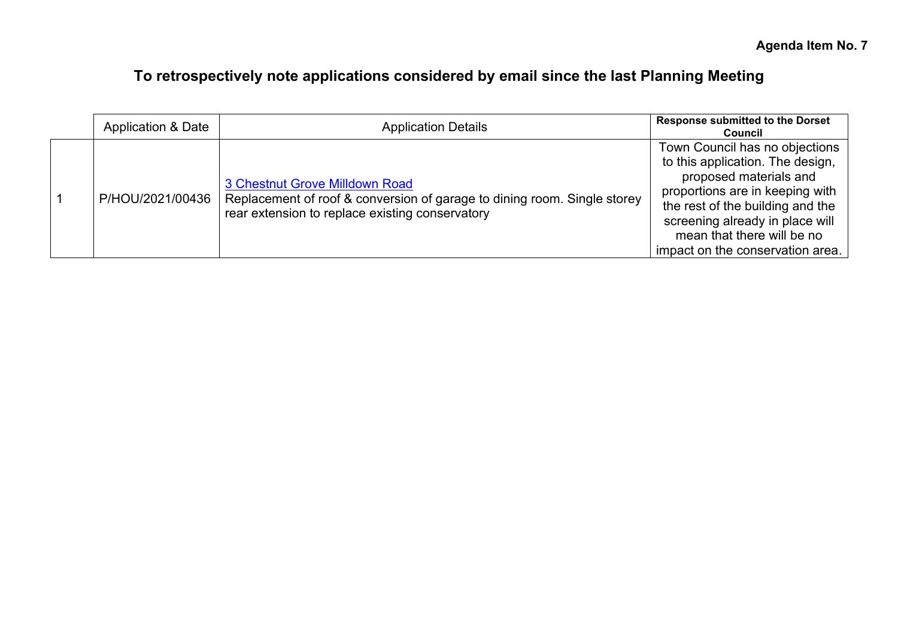# **To retrospectively note applications considered by email since the last Planning Meeting**

| <b>Application &amp; Date</b> | <b>Application Details</b>                                                                                                                                    | <b>Response submitted to the Dorset</b><br><b>Council</b>                                                                                                                                                                                                                |
|-------------------------------|---------------------------------------------------------------------------------------------------------------------------------------------------------------|--------------------------------------------------------------------------------------------------------------------------------------------------------------------------------------------------------------------------------------------------------------------------|
| P/HOU/2021/00436              | 3 Chestnut Grove Milldown Road<br>Replacement of roof & conversion of garage to dining room. Single storey<br>rear extension to replace existing conservatory | Town Council has no objections<br>to this application. The design,<br>proposed materials and<br>proportions are in keeping with<br>the rest of the building and the<br>screening already in place will<br>mean that there will be no<br>impact on the conservation area. |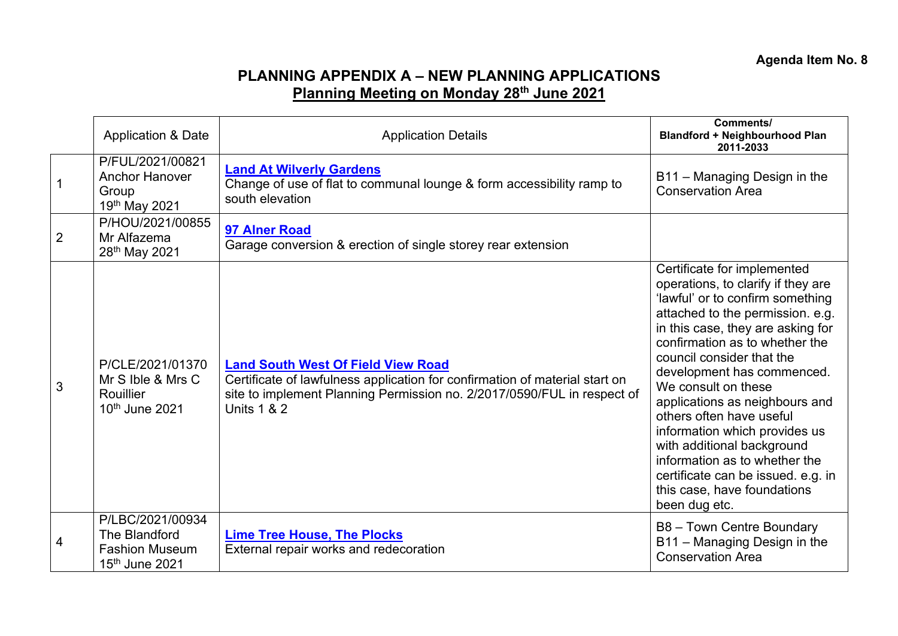## **PLANNING APPENDIX A – NEW PLANNING APPLICATIONS Planning Meeting on Monday 28th June 2021**

|                | <b>Application &amp; Date</b>                                                            | <b>Application Details</b>                                                                                                                                                                                                    | Comments/<br><b>Blandford + Neighbourhood Plan</b><br>2011-2033                                                                                                                                                                                                                                                                                                                                                                                                                                                                                        |
|----------------|------------------------------------------------------------------------------------------|-------------------------------------------------------------------------------------------------------------------------------------------------------------------------------------------------------------------------------|--------------------------------------------------------------------------------------------------------------------------------------------------------------------------------------------------------------------------------------------------------------------------------------------------------------------------------------------------------------------------------------------------------------------------------------------------------------------------------------------------------------------------------------------------------|
|                | P/FUL/2021/00821<br><b>Anchor Hanover</b><br>Group<br>19th May 2021                      | <b>Land At Wilverly Gardens</b><br>Change of use of flat to communal lounge & form accessibility ramp to<br>south elevation                                                                                                   | B11 - Managing Design in the<br><b>Conservation Area</b>                                                                                                                                                                                                                                                                                                                                                                                                                                                                                               |
| $\overline{2}$ | P/HOU/2021/00855<br>Mr Alfazema<br>28th May 2021                                         | 97 Alner Road<br>Garage conversion & erection of single storey rear extension                                                                                                                                                 |                                                                                                                                                                                                                                                                                                                                                                                                                                                                                                                                                        |
| 3              | P/CLE/2021/01370<br>Mr S Ible & Mrs C<br>Rouillier<br>10 <sup>th</sup> June 2021         | <b>Land South West Of Field View Road</b><br>Certificate of lawfulness application for confirmation of material start on<br>site to implement Planning Permission no. 2/2017/0590/FUL in respect of<br><b>Units 1 &amp; 2</b> | Certificate for implemented<br>operations, to clarify if they are<br>'lawful' or to confirm something<br>attached to the permission. e.g.<br>in this case, they are asking for<br>confirmation as to whether the<br>council consider that the<br>development has commenced.<br>We consult on these<br>applications as neighbours and<br>others often have useful<br>information which provides us<br>with additional background<br>information as to whether the<br>certificate can be issued. e.g. in<br>this case, have foundations<br>been dug etc. |
| 4              | P/LBC/2021/00934<br>The Blandford<br><b>Fashion Museum</b><br>15 <sup>th</sup> June 2021 | <b>Lime Tree House, The Plocks</b><br>External repair works and redecoration                                                                                                                                                  | B8 - Town Centre Boundary<br>B11 - Managing Design in the<br><b>Conservation Area</b>                                                                                                                                                                                                                                                                                                                                                                                                                                                                  |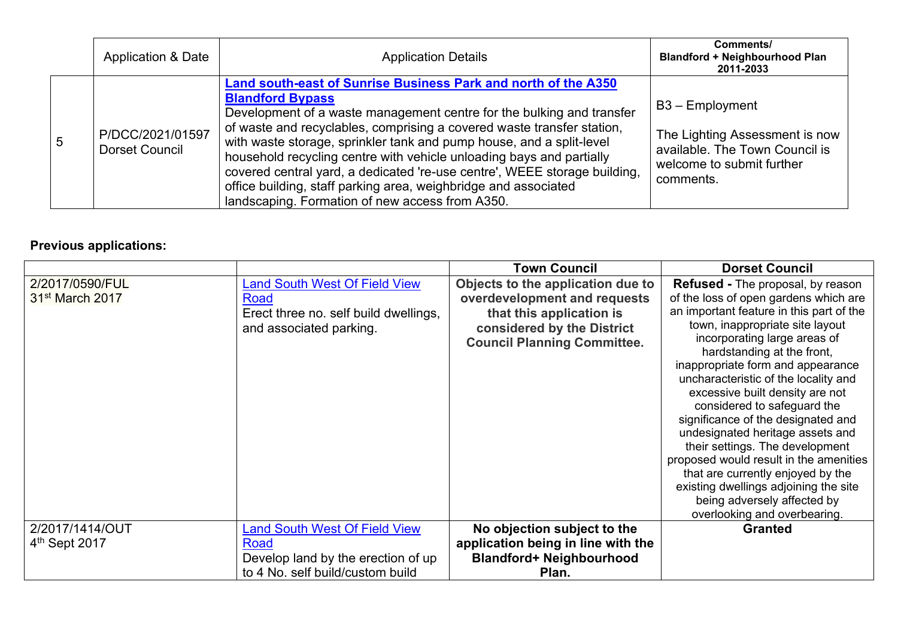|   | <b>Application &amp; Date</b>      | <b>Application Details</b>                                                                                                                                                                                                                                                                                                                                                                                                                                                                                                                                                                      | Comments/<br><b>Blandford + Neighbourhood Plan</b><br>2011-2033                                                                 |
|---|------------------------------------|-------------------------------------------------------------------------------------------------------------------------------------------------------------------------------------------------------------------------------------------------------------------------------------------------------------------------------------------------------------------------------------------------------------------------------------------------------------------------------------------------------------------------------------------------------------------------------------------------|---------------------------------------------------------------------------------------------------------------------------------|
| 5 | P/DCC/2021/01597<br>Dorset Council | Land south-east of Sunrise Business Park and north of the A350<br><b>Blandford Bypass</b><br>Development of a waste management centre for the bulking and transfer<br>of waste and recyclables, comprising a covered waste transfer station,<br>with waste storage, sprinkler tank and pump house, and a split-level<br>household recycling centre with vehicle unloading bays and partially<br>covered central yard, a dedicated 're-use centre', WEEE storage building,<br>office building, staff parking area, weighbridge and associated<br>landscaping. Formation of new access from A350. | $B3 - Employment$<br>The Lighting Assessment is now<br>available. The Town Council is<br>welcome to submit further<br>comments. |

# **Previous applications:**

|                           |                                       | <b>Town Council</b>                | <b>Dorset Council</b>                                          |
|---------------------------|---------------------------------------|------------------------------------|----------------------------------------------------------------|
| 2/2017/0590/FUL           | <b>Land South West Of Field View</b>  | Objects to the application due to  | <b>Refused - The proposal, by reason</b>                       |
| $31st$ March 2017         | Road                                  | overdevelopment and requests       | of the loss of open gardens which are                          |
|                           | Erect three no. self build dwellings, | that this application is           | an important feature in this part of the                       |
|                           | and associated parking.               | considered by the District         | town, inappropriate site layout                                |
|                           |                                       | <b>Council Planning Committee.</b> | incorporating large areas of                                   |
|                           |                                       |                                    | hardstanding at the front,                                     |
|                           |                                       |                                    | inappropriate form and appearance                              |
|                           |                                       |                                    | uncharacteristic of the locality and                           |
|                           |                                       |                                    | excessive built density are not<br>considered to safeguard the |
|                           |                                       |                                    | significance of the designated and                             |
|                           |                                       |                                    | undesignated heritage assets and                               |
|                           |                                       |                                    | their settings. The development                                |
|                           |                                       |                                    | proposed would result in the amenities                         |
|                           |                                       |                                    | that are currently enjoyed by the                              |
|                           |                                       |                                    | existing dwellings adjoining the site                          |
|                           |                                       |                                    | being adversely affected by                                    |
|                           |                                       |                                    | overlooking and overbearing.                                   |
| 2/2017/1414/OUT           | <b>Land South West Of Field View</b>  | No objection subject to the        | <b>Granted</b>                                                 |
| 4 <sup>th</sup> Sept 2017 | Road                                  | application being in line with the |                                                                |
|                           | Develop land by the erection of up    | <b>Blandford+ Neighbourhood</b>    |                                                                |
|                           | to 4 No. self build/custom build      | Plan.                              |                                                                |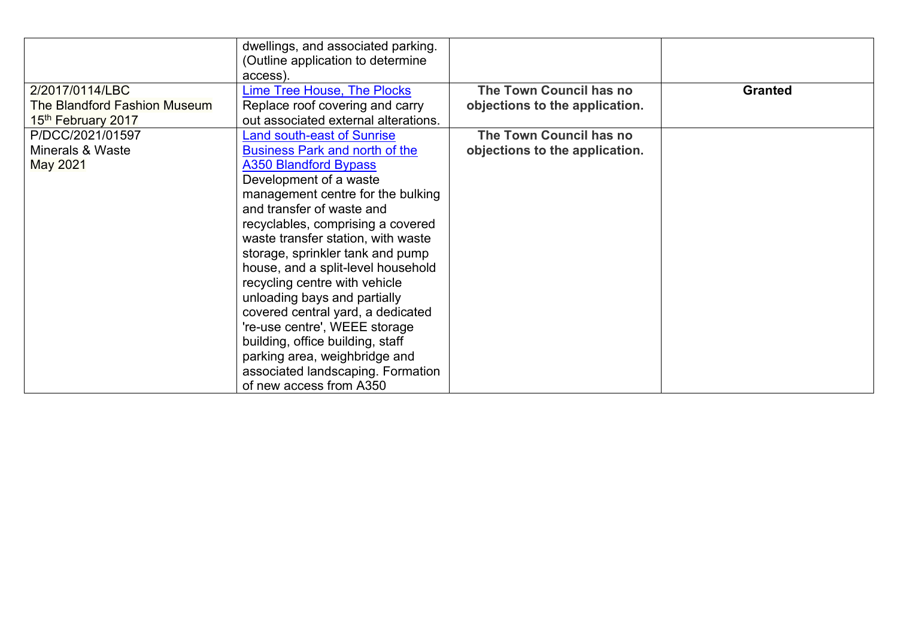|                              | dwellings, and associated parking.    |                                |                |
|------------------------------|---------------------------------------|--------------------------------|----------------|
|                              | (Outline application to determine     |                                |                |
|                              | access).                              |                                |                |
| 2/2017/0114/LBC              | <b>Lime Tree House, The Plocks</b>    | The Town Council has no        | <b>Granted</b> |
| The Blandford Fashion Museum | Replace roof covering and carry       | objections to the application. |                |
| 15th February 2017           | out associated external alterations.  |                                |                |
| P/DCC/2021/01597             | Land south-east of Sunrise            | The Town Council has no        |                |
| Minerals & Waste             | <b>Business Park and north of the</b> | objections to the application. |                |
| <b>May 2021</b>              | <b>A350 Blandford Bypass</b>          |                                |                |
|                              | Development of a waste                |                                |                |
|                              | management centre for the bulking     |                                |                |
|                              | and transfer of waste and             |                                |                |
|                              | recyclables, comprising a covered     |                                |                |
|                              | waste transfer station, with waste    |                                |                |
|                              | storage, sprinkler tank and pump      |                                |                |
|                              | house, and a split-level household    |                                |                |
|                              | recycling centre with vehicle         |                                |                |
|                              | unloading bays and partially          |                                |                |
|                              | covered central yard, a dedicated     |                                |                |
|                              | 're-use centre', WEEE storage         |                                |                |
|                              | building, office building, staff      |                                |                |
|                              | parking area, weighbridge and         |                                |                |
|                              | associated landscaping. Formation     |                                |                |
|                              | of new access from A350               |                                |                |